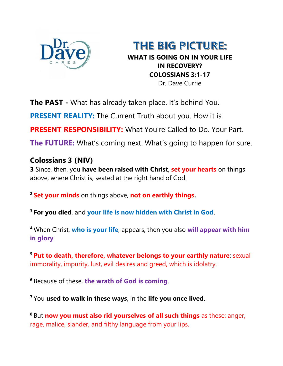

THE BIG PICTURE: **WHAT IS GOING ON IN YOUR LIFE IN RECOVERY? COLOSSIANS 3:1-17** Dr. Dave Currie

**The PAST** - What has already taken place. It's behind You.

**PRESENT REALITY:** The Current Truth about you. How it is.

**PRESENT RESPONSIBILITY:** What You're Called to Do. Your Part.

**The FUTURE:** What's coming next. What's going to happen for sure.

## **Colossians 3 (NIV)**

**3** Since, then, you **have been raised with Christ**, **set your hearts** on things above, where Christ is, seated at the right hand of God.

**<sup>2</sup> Set your minds** on things above, **not on earthly things.**

**<sup>3</sup> For you died**, and **your life is now hidden with Christ in God**.

**<sup>4</sup>** When Christ, **who is your life**, appears, then you also **will appear with him in glory**.

**<sup>5</sup> Put to death, therefore, whatever belongs to your earthly nature**: sexual immorality, impurity, lust, evil desires and greed, which is idolatry.

**<sup>6</sup>** Because of these, **the wrath of God is coming**.

**<sup>7</sup>** You **used to walk in these ways**, in the **life you once lived.**

**<sup>8</sup>** But **now you must also rid yourselves of all such things** as these: anger, rage, malice, slander, and filthy language from your lips.